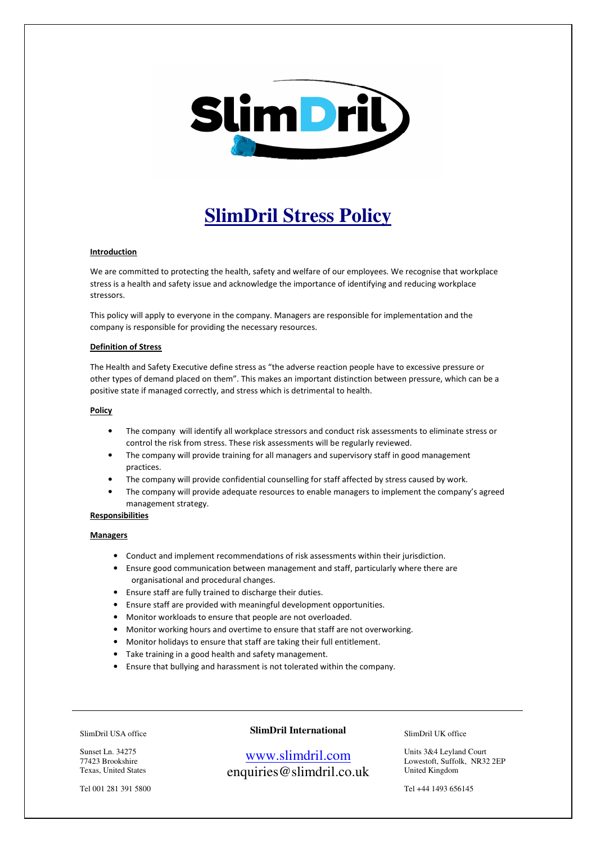

# **SlimDril Stress Policy**

#### Introduction

We are committed to protecting the health, safety and welfare of our employees. We recognise that workplace stress is a health and safety issue and acknowledge the importance of identifying and reducing workplace stressors.

This policy will apply to everyone in the company. Managers are responsible for implementation and the company is responsible for providing the necessary resources.

#### Definition of Stress

The Health and Safety Executive define stress as "the adverse reaction people have to excessive pressure or other types of demand placed on them". This makes an important distinction between pressure, which can be a positive state if managed correctly, and stress which is detrimental to health.

## Policy

- The company will identify all workplace stressors and conduct risk assessments to eliminate stress or control the risk from stress. These risk assessments will be regularly reviewed.
- The company will provide training for all managers and supervisory staff in good management practices.
- The company will provide confidential counselling for staff affected by stress caused by work.
- The company will provide adequate resources to enable managers to implement the company's agreed management strategy.

### **Responsibilities**

#### **Managers**

- Conduct and implement recommendations of risk assessments within their jurisdiction.
- Ensure good communication between management and staff, particularly where there are organisational and procedural changes.
- Ensure staff are fully trained to discharge their duties.
- Ensure staff are provided with meaningful development opportunities.
- Monitor workloads to ensure that people are not overloaded.
- Monitor working hours and overtime to ensure that staff are not overworking.
- Monitor holidays to ensure that staff are taking their full entitlement.
- Take training in a good health and safety management.
- Ensure that bullying and harassment is not tolerated within the company.

#### SlimDril USA office

Sunset Ln. 34275 77423 Brookshire Texas, United States

Tel 001 281 391 5800

## **SlimDril International**

# www.slimdril.com enquiries@slimdril.co.uk

SlimDril UK office

Units 3&4 Leyland Court Lowestoft, Suffolk, NR32 2EP United Kingdom

Tel +44 1493 656145